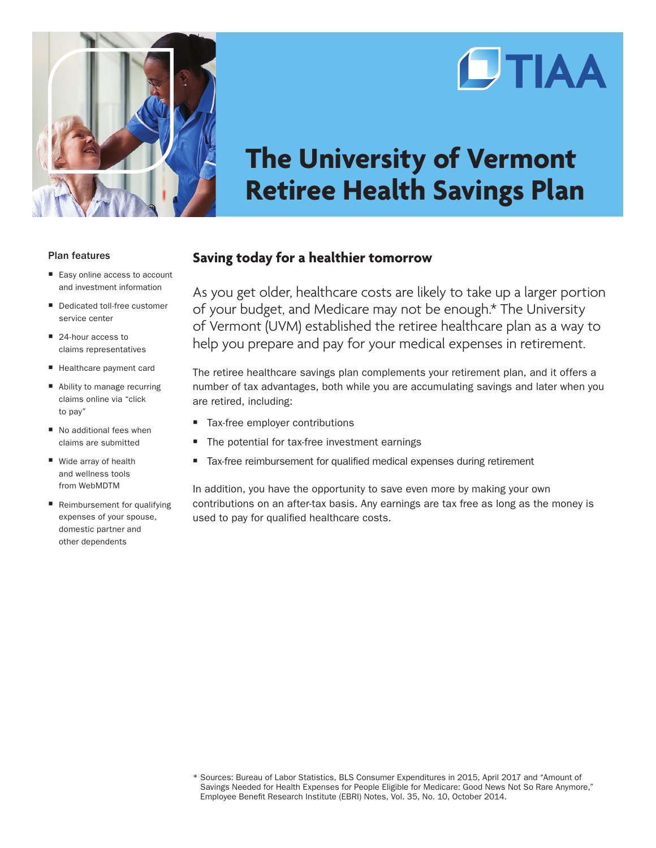

# **CTIAA**

# **The University of Vermont Retiree Health Savings Plan**

#### Plan features

- Easy online access to account and investment information
- Dedicated toll-free customer service center
- 24-hour access to claims representatives
- $\blacksquare$  Healthcare payment card
- Ability to manage recurring claims online via "click to pay"
- $\blacksquare$  No additional fees when claims are submitted
- $\blacksquare$  Wide array of health and wellness tools from WebMDTM
- Reimbursement for qualifying expenses of your spouse, domestic partner and other dependents

## **Saving today for a healthier tomorrow**

As you get older, healthcare costs are likely to take up a larger portion of your budget, and Medicare may not be enough.\* The University of Vermont (UVM) established the retiree healthcare plan as a way to help you prepare and pay for your medical expenses in retirement.

The retiree healthcare savings plan complements your retirement plan, and it offers a number of tax advantages, both while you are accumulating savings and later when you are retired, including:

- Tax-free employer contributions
- The potential for tax-free investment earnings
- Tax-free reimbursement for qualified medical expenses during retirement

In addition, you have the opportunity to save even more by making your own contributions on an after-tax basis. Any earnings are tax free as long as the money is used to pay for qualified healthcare costs.

<sup>\*</sup> Sources: Bureau of Labor Statistics, BLS Consumer Expenditures in 2015, April 2017 and "Amount of Savings Needed for Health Expenses for People Eligible for Medicare: Good News Not So Rare Anymore," Employee Benefit Research Institute (EBRI) Notes, Vol. 35, No. 10, October 2014.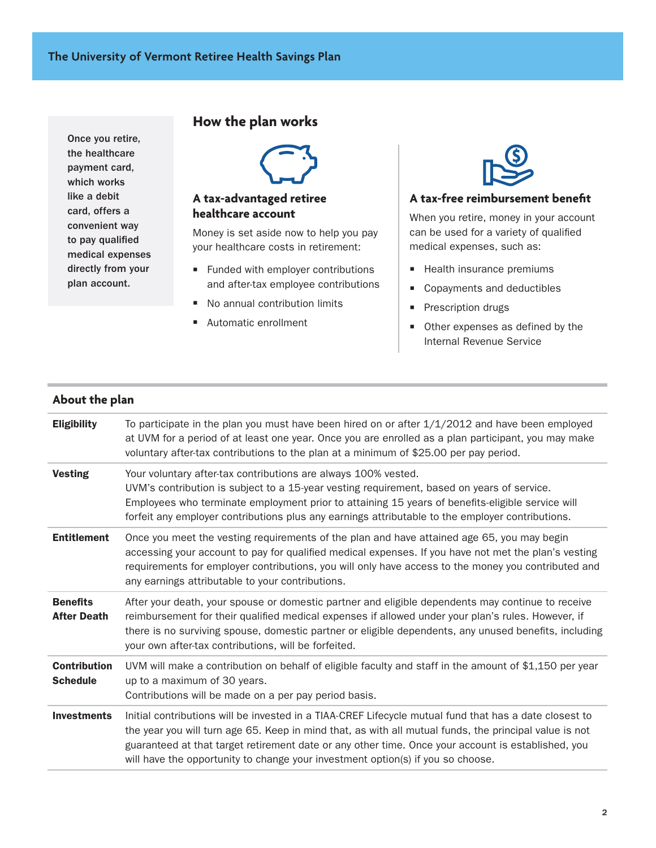Once you retire, the healthcare payment card, which works like a debit card, offers a convenient way to pay qualified medical expenses directly from your plan account.

# **How the plan works**



### **A tax-advantaged retiree healthcare account**

Money is set aside now to help you pay your healthcare costs in retirement:

- $\blacksquare$  Funded with employer contributions and after-tax employee contributions
- No annual contribution limits
- Automatic enrollment



#### **A tax-free reimbursement benefit**

When you retire, money in your account can be used for a variety of qualified medical expenses, such as:

- **Health insurance premiums**
- Copayments and deductibles
- **Prescription drugs**
- $\blacksquare$  Other expenses as defined by the Internal Revenue Service

#### **About the plan**

| <b>Eligibility</b>                     | To participate in the plan you must have been hired on or after $1/1/2012$ and have been employed<br>at UVM for a period of at least one year. Once you are enrolled as a plan participant, you may make<br>voluntary after-tax contributions to the plan at a minimum of \$25.00 per pay period.                                                                                                         |
|----------------------------------------|-----------------------------------------------------------------------------------------------------------------------------------------------------------------------------------------------------------------------------------------------------------------------------------------------------------------------------------------------------------------------------------------------------------|
| <b>Vesting</b>                         | Your voluntary after-tax contributions are always 100% vested.<br>UVM's contribution is subject to a 15-year vesting requirement, based on years of service.<br>Employees who terminate employment prior to attaining 15 years of benefits-eligible service will<br>forfeit any employer contributions plus any earnings attributable to the employer contributions.                                      |
| <b>Entitlement</b>                     | Once you meet the vesting requirements of the plan and have attained age 65, you may begin<br>accessing your account to pay for qualified medical expenses. If you have not met the plan's vesting<br>requirements for employer contributions, you will only have access to the money you contributed and<br>any earnings attributable to your contributions.                                             |
| <b>Benefits</b><br><b>After Death</b>  | After your death, your spouse or domestic partner and eligible dependents may continue to receive<br>reimbursement for their qualified medical expenses if allowed under your plan's rules. However, if<br>there is no surviving spouse, domestic partner or eligible dependents, any unused benefits, including<br>your own after-tax contributions, will be forfeited.                                  |
| <b>Contribution</b><br><b>Schedule</b> | UVM will make a contribution on behalf of eligible faculty and staff in the amount of \$1,150 per year<br>up to a maximum of 30 years.<br>Contributions will be made on a per pay period basis.                                                                                                                                                                                                           |
| <b>Investments</b>                     | Initial contributions will be invested in a TIAA-CREF Lifecycle mutual fund that has a date closest to<br>the year you will turn age 65. Keep in mind that, as with all mutual funds, the principal value is not<br>guaranteed at that target retirement date or any other time. Once your account is established, you<br>will have the opportunity to change your investment option(s) if you so choose. |